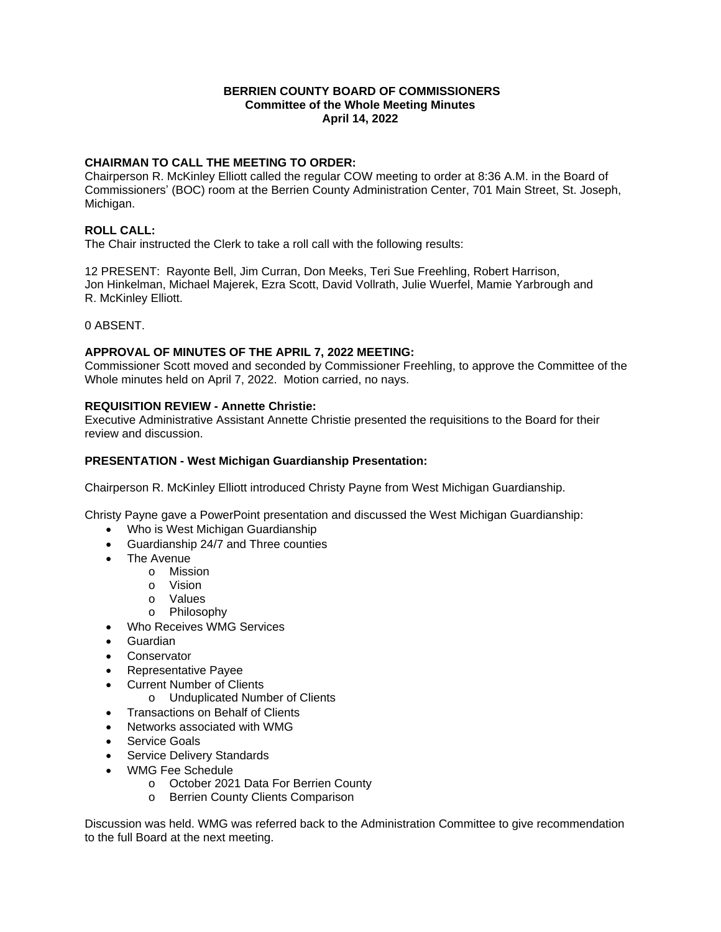### **BERRIEN COUNTY BOARD OF COMMISSIONERS Committee of the Whole Meeting Minutes April 14, 2022**

# **CHAIRMAN TO CALL THE MEETING TO ORDER:**

Chairperson R. McKinley Elliott called the regular COW meeting to order at 8:36 A.M. in the Board of Commissioners' (BOC) room at the Berrien County Administration Center, 701 Main Street, St. Joseph, Michigan.

### **ROLL CALL:**

The Chair instructed the Clerk to take a roll call with the following results:

12 PRESENT: Rayonte Bell, Jim Curran, Don Meeks, Teri Sue Freehling, Robert Harrison, Jon Hinkelman, Michael Majerek, Ezra Scott, David Vollrath, Julie Wuerfel, Mamie Yarbrough and R. McKinley Elliott.

0 ABSENT.

### **APPROVAL OF MINUTES OF THE APRIL 7, 2022 MEETING:**

Commissioner Scott moved and seconded by Commissioner Freehling, to approve the Committee of the Whole minutes held on April 7, 2022. Motion carried, no nays.

### **REQUISITION REVIEW - Annette Christie:**

Executive Administrative Assistant Annette Christie presented the requisitions to the Board for their review and discussion.

# **PRESENTATION - West Michigan Guardianship Presentation:**

Chairperson R. McKinley Elliott introduced Christy Payne from West Michigan Guardianship.

Christy Payne gave a PowerPoint presentation and discussed the West Michigan Guardianship:

- Who is West Michigan Guardianship
- Guardianship 24/7 and Three counties
- The Avenue
	- o Mission
	- o Vision
	- o Values
	- o Philosophy
- Who Receives WMG Services
- Guardian
- Conservator
- Representative Payee
- Current Number of Clients
	- o Unduplicated Number of Clients
- Transactions on Behalf of Clients
- Networks associated with WMG
- Service Goals
- Service Delivery Standards
- WMG Fee Schedule
	- o October 2021 Data For Berrien County
	- o Berrien County Clients Comparison

Discussion was held. WMG was referred back to the Administration Committee to give recommendation to the full Board at the next meeting.